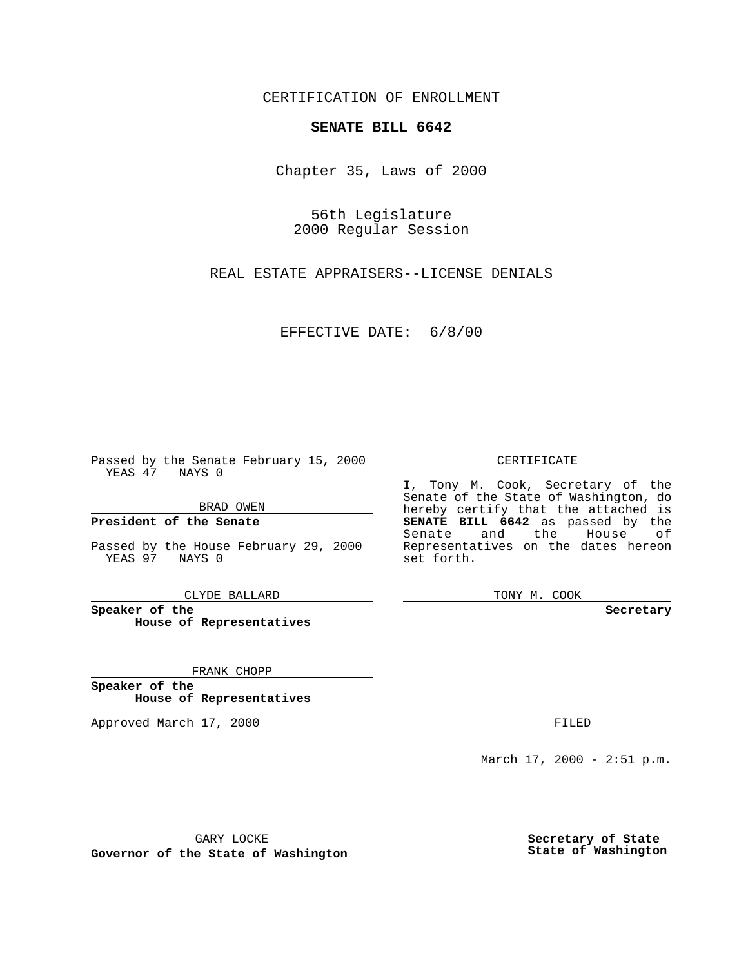CERTIFICATION OF ENROLLMENT

## **SENATE BILL 6642**

Chapter 35, Laws of 2000

56th Legislature 2000 Regular Session

REAL ESTATE APPRAISERS--LICENSE DENIALS

EFFECTIVE DATE: 6/8/00

Passed by the Senate February 15, 2000 YEAS 47 NAYS 0

BRAD OWEN

**President of the Senate**

Passed by the House February 29, 2000 YEAS 97 NAYS 0

CLYDE BALLARD

**Speaker of the House of Representatives**

FRANK CHOPP

**Speaker of the House of Representatives**

Approved March 17, 2000 FILED

## CERTIFICATE

I, Tony M. Cook, Secretary of the Senate of the State of Washington, do hereby certify that the attached is **SENATE BILL 6642** as passed by the Senate and the House of Representatives on the dates hereon set forth.

TONY M. COOK

**Secretary**

March 17, 2000 - 2:51 p.m.

GARY LOCKE

**Governor of the State of Washington**

**Secretary of State State of Washington**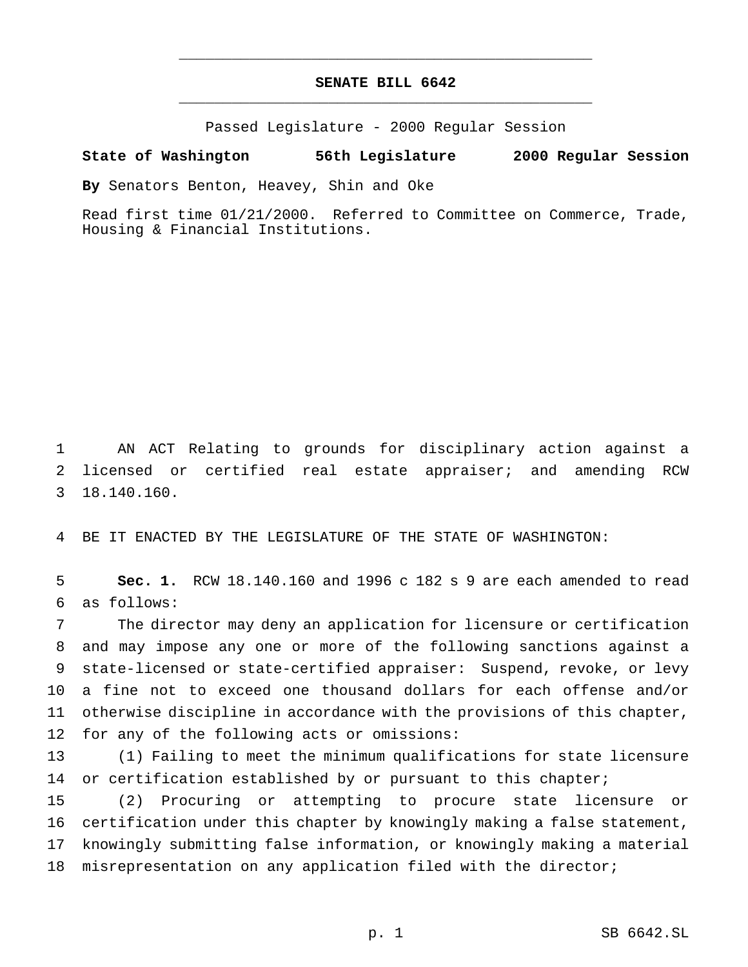## **SENATE BILL 6642** \_\_\_\_\_\_\_\_\_\_\_\_\_\_\_\_\_\_\_\_\_\_\_\_\_\_\_\_\_\_\_\_\_\_\_\_\_\_\_\_\_\_\_\_\_\_\_

\_\_\_\_\_\_\_\_\_\_\_\_\_\_\_\_\_\_\_\_\_\_\_\_\_\_\_\_\_\_\_\_\_\_\_\_\_\_\_\_\_\_\_\_\_\_\_

Passed Legislature - 2000 Regular Session

## **State of Washington 56th Legislature 2000 Regular Session**

**By** Senators Benton, Heavey, Shin and Oke

Read first time 01/21/2000. Referred to Committee on Commerce, Trade, Housing & Financial Institutions.

1 AN ACT Relating to grounds for disciplinary action against a 2 licensed or certified real estate appraiser; and amending RCW 3 18.140.160.

4 BE IT ENACTED BY THE LEGISLATURE OF THE STATE OF WASHINGTON:

5 **Sec. 1.** RCW 18.140.160 and 1996 c 182 s 9 are each amended to read 6 as follows:

 The director may deny an application for licensure or certification and may impose any one or more of the following sanctions against a state-licensed or state-certified appraiser: Suspend, revoke, or levy a fine not to exceed one thousand dollars for each offense and/or otherwise discipline in accordance with the provisions of this chapter, for any of the following acts or omissions:

13 (1) Failing to meet the minimum qualifications for state licensure 14 or certification established by or pursuant to this chapter;

 (2) Procuring or attempting to procure state licensure or certification under this chapter by knowingly making a false statement, knowingly submitting false information, or knowingly making a material misrepresentation on any application filed with the director;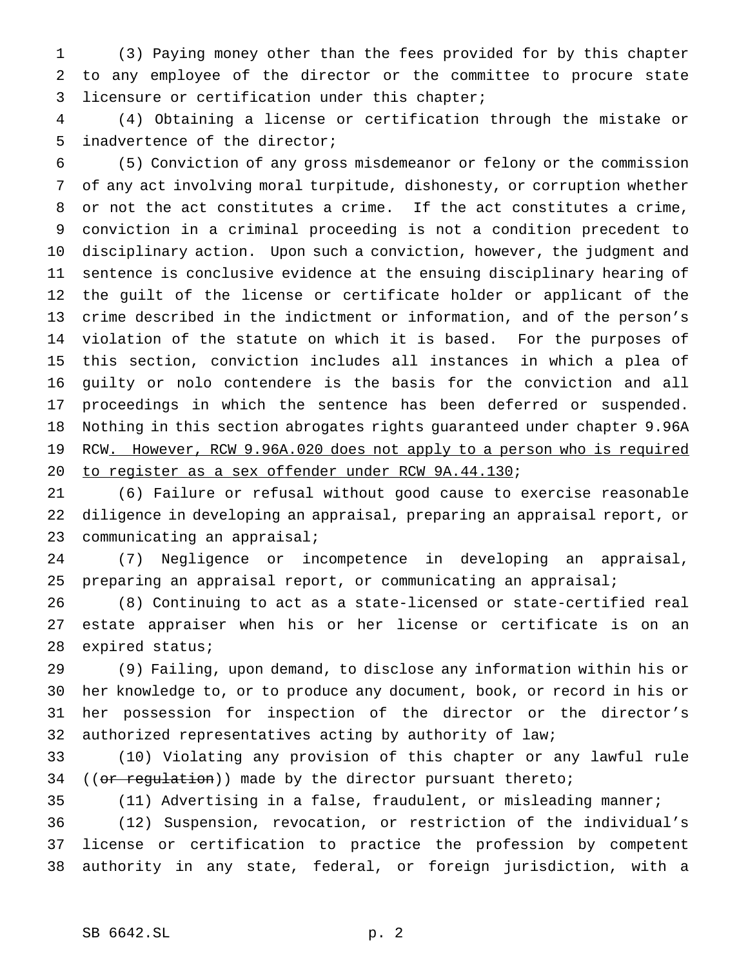(3) Paying money other than the fees provided for by this chapter to any employee of the director or the committee to procure state licensure or certification under this chapter;

 (4) Obtaining a license or certification through the mistake or inadvertence of the director;

 (5) Conviction of any gross misdemeanor or felony or the commission of any act involving moral turpitude, dishonesty, or corruption whether or not the act constitutes a crime. If the act constitutes a crime, conviction in a criminal proceeding is not a condition precedent to disciplinary action. Upon such a conviction, however, the judgment and sentence is conclusive evidence at the ensuing disciplinary hearing of the guilt of the license or certificate holder or applicant of the crime described in the indictment or information, and of the person's violation of the statute on which it is based. For the purposes of this section, conviction includes all instances in which a plea of guilty or nolo contendere is the basis for the conviction and all proceedings in which the sentence has been deferred or suspended. Nothing in this section abrogates rights guaranteed under chapter 9.96A 19 RCW. However, RCW 9.96A.020 does not apply to a person who is required to register as a sex offender under RCW 9A.44.130;

 (6) Failure or refusal without good cause to exercise reasonable diligence in developing an appraisal, preparing an appraisal report, or communicating an appraisal;

 (7) Negligence or incompetence in developing an appraisal, preparing an appraisal report, or communicating an appraisal;

 (8) Continuing to act as a state-licensed or state-certified real estate appraiser when his or her license or certificate is on an expired status;

 (9) Failing, upon demand, to disclose any information within his or her knowledge to, or to produce any document, book, or record in his or her possession for inspection of the director or the director's authorized representatives acting by authority of law;

 (10) Violating any provision of this chapter or any lawful rule 34 ((or regulation)) made by the director pursuant thereto;

(11) Advertising in a false, fraudulent, or misleading manner;

 (12) Suspension, revocation, or restriction of the individual's license or certification to practice the profession by competent authority in any state, federal, or foreign jurisdiction, with a